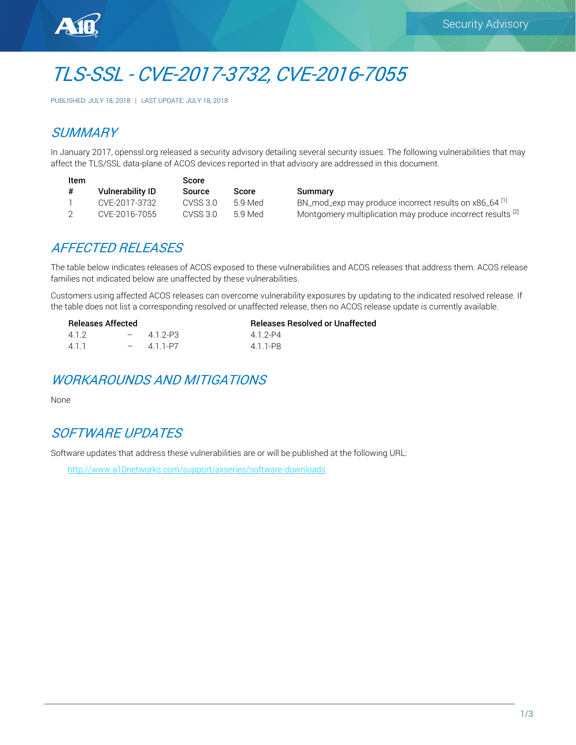

# TLS-SSL - CVE-2017-3732, CVE-2016-7055

PUBLISHED: JULY 18, 2018 | LAST UPDATE: JULY 18, 2018

# **SUMMARY**

In January 2017, openssl.org released a security advisory detailing several security issues. The following vulnerabilities that may affect the TLS/SSL data-plane of ACOS devices reported in that advisory are addressed in this document.

| Item |                         | Score    |         |      |
|------|-------------------------|----------|---------|------|
| #    | <b>Vulnerability ID</b> | Source   | Score   | Sum  |
|      | CVE-2017-3732           | CVSS 3.0 | 5.9 Med | BN 1 |
|      | CVE-2016-7055           | CVSS 3.0 | 5.9 Med | Mon  |

hmary mod\_exp may produce incorrect results on x86\_64 [1] 1tgomery multiplication may produce incorrect results <sup>[2]</sup>

## AFFECTED RELEASES

The table below indicates releases of ACOS exposed to these vulnerabilities and ACOS releases that address them. ACOS release families not indicated below are unaffected by these vulnerabilities.

Customers using affected ACOS releases can overcome vulnerability exposures by updating to the indicated resolved release. If the table does not list a corresponding resolved or unaffected release, then no ACOS release update is currently available.

| <b>Releases Affected</b> |  |           | <b>Releases Resolved or Unaffected</b> |
|--------------------------|--|-----------|----------------------------------------|
| 412                      |  | $-412-P3$ | 412-P4                                 |
| 411                      |  | $-411-PT$ | 4 1 1-P8                               |

## WORKAROUNDS AND MITIGATIONS

None

# SOFTWARE UPDATES

Software updates that address these vulnerabilities are or will be published at the following URL:

<http://www.a10networks.com/support/axseries/software-downloads>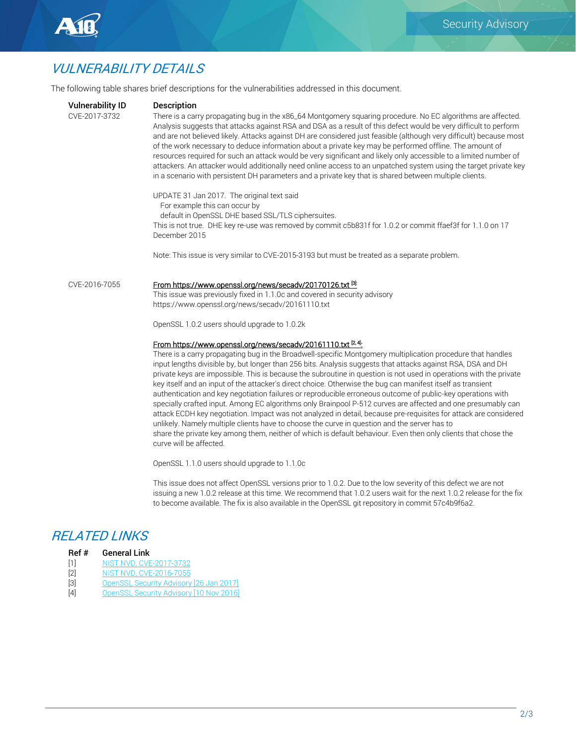

# VULNERABILITY DETAILS

The following table shares brief descriptions for the vulnerabilities addressed in this document.

| <b>Vulnerability ID</b><br>CVE-2017-3732 | <b>Description</b><br>There is a carry propagating bug in the x86_64 Montgomery squaring procedure. No EC algorithms are affected.<br>Analysis suggests that attacks against RSA and DSA as a result of this defect would be very difficult to perform<br>and are not believed likely. Attacks against DH are considered just feasible (although very difficult) because most<br>of the work necessary to deduce information about a private key may be performed offline. The amount of<br>resources required for such an attack would be very significant and likely only accessible to a limited number of<br>attackers. An attacker would additionally need online access to an unpatched system using the target private key<br>in a scenario with persistent DH parameters and a private key that is shared between multiple clients.                                                                                                                                                                                                                                                                                                |
|------------------------------------------|--------------------------------------------------------------------------------------------------------------------------------------------------------------------------------------------------------------------------------------------------------------------------------------------------------------------------------------------------------------------------------------------------------------------------------------------------------------------------------------------------------------------------------------------------------------------------------------------------------------------------------------------------------------------------------------------------------------------------------------------------------------------------------------------------------------------------------------------------------------------------------------------------------------------------------------------------------------------------------------------------------------------------------------------------------------------------------------------------------------------------------------------|
|                                          | UPDATE 31 Jan 2017. The original text said<br>For example this can occur by<br>default in OpenSSL DHE based SSL/TLS ciphersuites.<br>This is not true. DHE key re-use was removed by commit c5b831f for 1.0.2 or commit ffaef3f for 1.1.0 on 17<br>December 2015                                                                                                                                                                                                                                                                                                                                                                                                                                                                                                                                                                                                                                                                                                                                                                                                                                                                           |
|                                          | Note: This issue is very similar to CVE-2015-3193 but must be treated as a separate problem.                                                                                                                                                                                                                                                                                                                                                                                                                                                                                                                                                                                                                                                                                                                                                                                                                                                                                                                                                                                                                                               |
| CVE-2016-7055                            | From https://www.openssl.org/news/secadv/20170126.txt <sup>[3]:</sup><br>This issue was previously fixed in 1.1.0c and covered in security advisory<br>https://www.openssl.org/news/secadv/20161110.txt<br>OpenSSL 1.0.2 users should upgrade to 1.0.2k                                                                                                                                                                                                                                                                                                                                                                                                                                                                                                                                                                                                                                                                                                                                                                                                                                                                                    |
|                                          | From https://www.openssl.org/news/secady/20161110.txt <sup>[2,4]</sup><br>There is a carry propagating bug in the Broadwell-specific Montgomery multiplication procedure that handles<br>input lengths divisible by, but longer than 256 bits. Analysis suggests that attacks against RSA, DSA and DH<br>private keys are impossible. This is because the subroutine in question is not used in operations with the private<br>key itself and an input of the attacker's direct choice. Otherwise the bug can manifest itself as transient<br>authentication and key negotiation failures or reproducible erroneous outcome of public-key operations with<br>specially crafted input. Among EC algorithms only Brainpool P-512 curves are affected and one presumably can<br>attack ECDH key negotiation. Impact was not analyzed in detail, because pre-requisites for attack are considered<br>unlikely. Namely multiple clients have to choose the curve in question and the server has to<br>share the private key among them, neither of which is default behaviour. Even then only clients that chose the<br>curve will be affected. |
|                                          | OpenSSL 1.1.0 users should upgrade to 1.1.0c                                                                                                                                                                                                                                                                                                                                                                                                                                                                                                                                                                                                                                                                                                                                                                                                                                                                                                                                                                                                                                                                                               |

This issue does not affect OpenSSL versions prior to 1.0.2. Due to the low severity of this defect we are not issuing a new 1.0.2 release at this time. We recommend that 1.0.2 users wait for the next 1.0.2 release for the fix to become available. The fix is also available in the OpenSSL git repository in commit 57c4b9f6a2.

## RELATED LINKS

#### Ref # General Link

- [1] [NIST NVD, CVE-2017-3732](https://nvd.nist.gov/vuln/detail/CVE-2017-3732)
- [2] [NIST NVD, CVE-2016-7055](https://nvd.nist.gov/vuln/detail/CVE-2016-7055)
- [3] [OpenSSL Security Advisory \[26 Jan 2017\]](https://www.openssl.org/news/secadv/20170126.txt)
- [4] [OpenSSL Security Advisory \[10 Nov 2016\]](https://www.openssl.org/news/secadv/20161110.txt)